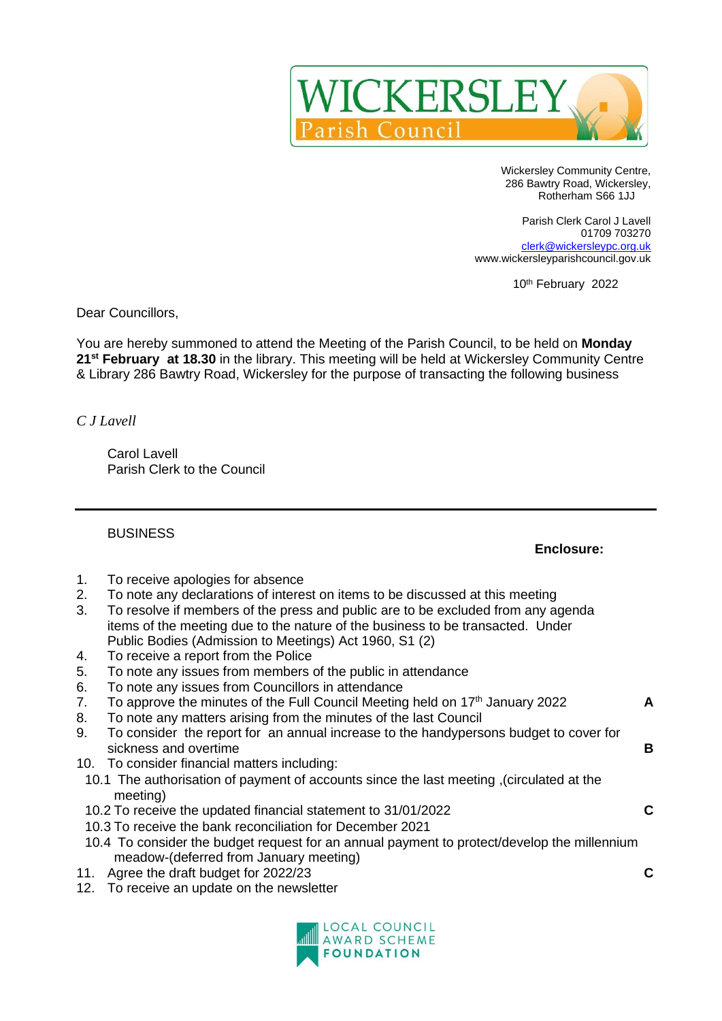

Wickersley Community Centre, 286 Bawtry Road, Wickersley, Rotherham S66 1JJ

Parish Clerk Carol J Lavell 01709 703270 [clerk@wickersleypc.org.uk](mailto:clerk@wickersleypc.org.uk) www.wickersleyparishcouncil.gov.uk

10<sup>th</sup> February 2022

Dear Councillors,

You are hereby summoned to attend the Meeting of the Parish Council, to be held on **Monday 21st February at 18.30** in the library. This meeting will be held at Wickersley Community Centre & Library 286 Bawtry Road, Wickersley for the purpose of transacting the following business

*C J Lavell*

Carol Lavell Parish Clerk to the Council

BUSINESS

## **Enclosure:**

- 1. To receive apologies for absence
- 2. To note any declarations of interest on items to be discussed at this meeting
- 3. To resolve if members of the press and public are to be excluded from any agenda items of the meeting due to the nature of the business to be transacted. Under Public Bodies (Admission to Meetings) Act 1960, S1 (2)
- 4. To receive a report from the Police
- 5. To note any issues from members of the public in attendance
- 6. To note any issues from Councillors in attendance
- 7. To approve the minutes of the Full Council Meeting held on 17 th January 2022 **A**
- 8. To note any matters arising from the minutes of the last Council
- 9. To consider the report for an annual increase to the handypersons budget to cover for sickness and overtime **B**
- 10. To consider financial matters including:
- 10.1 The authorisation of payment of accounts since the last meeting ,(circulated at the meeting)
- 10.2 To receive the updated financial statement to 31/01/2022 **C**
- 10.3 To receive the bank reconciliation for December 2021
- 10.4 To consider the budget request for an annual payment to protect/develop the millennium meadow-(deferred from January meeting)
- 11. Agree the draft budget for 2022/23 **C**
- 12. To receive an update on the newsletter